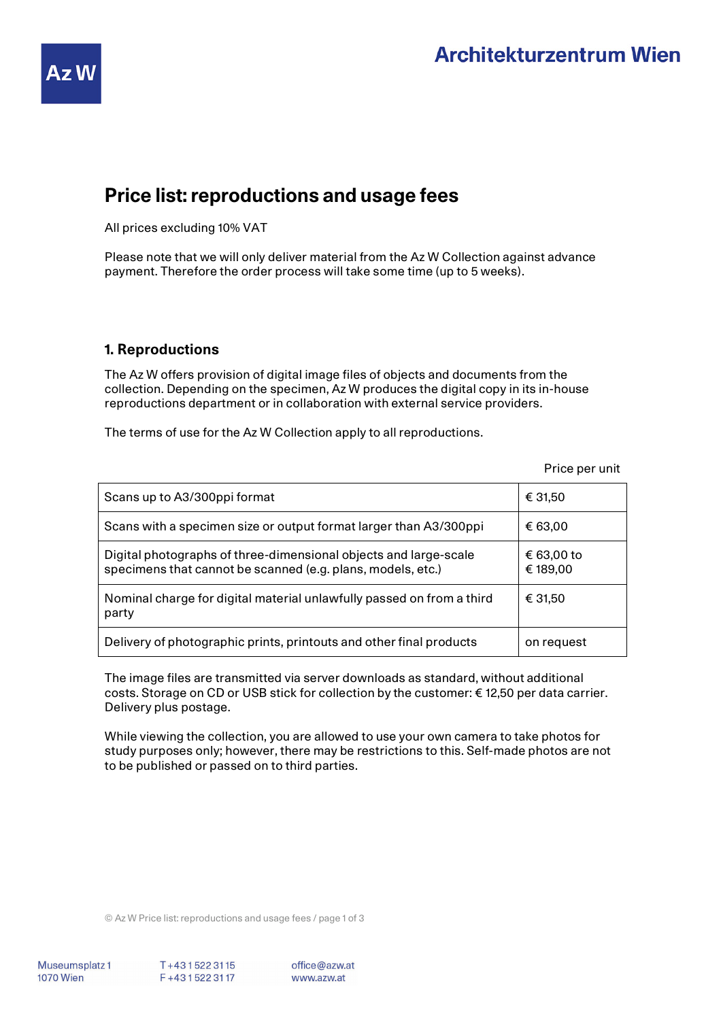

# **Price list: reproductions and usage fees**

All prices excluding 10% VAT

Please note that we will only deliver material from the Az W Collection against advance payment. Therefore the order process will take some time (up to 5 weeks).

### **1. Reproductions**

The Az W offers provision of digital image files of objects and documents from the collection. Depending on the specimen, Az W produces the digital copy in its in-house reproductions department or in collaboration with external service providers.

The terms of use for the Az W Collection apply to all reproductions.

Price per unit

| Scans up to A3/300ppi format                                                                                                    | € 31,50                |
|---------------------------------------------------------------------------------------------------------------------------------|------------------------|
| Scans with a specimen size or output format larger than A3/300ppi                                                               | € 63,00                |
| Digital photographs of three-dimensional objects and large-scale<br>specimens that cannot be scanned (e.g. plans, models, etc.) | € 63,00 to<br>€ 189,00 |
| Nominal charge for digital material unlawfully passed on from a third<br>party                                                  | € 31,50                |
| Delivery of photographic prints, printouts and other final products                                                             | on request             |

The image files are transmitted via server downloads as standard, without additional costs. Storage on CD or USB stick for collection by the customer: € 12,50 per data carrier. Delivery plus postage.

While viewing the collection, you are allowed to use your own camera to take photos for study purposes only; however, there may be restrictions to this. Self-made photos are not to be published or passed on to third parties.

© Az W Price list: reproductions and usage fees / page 1 of 3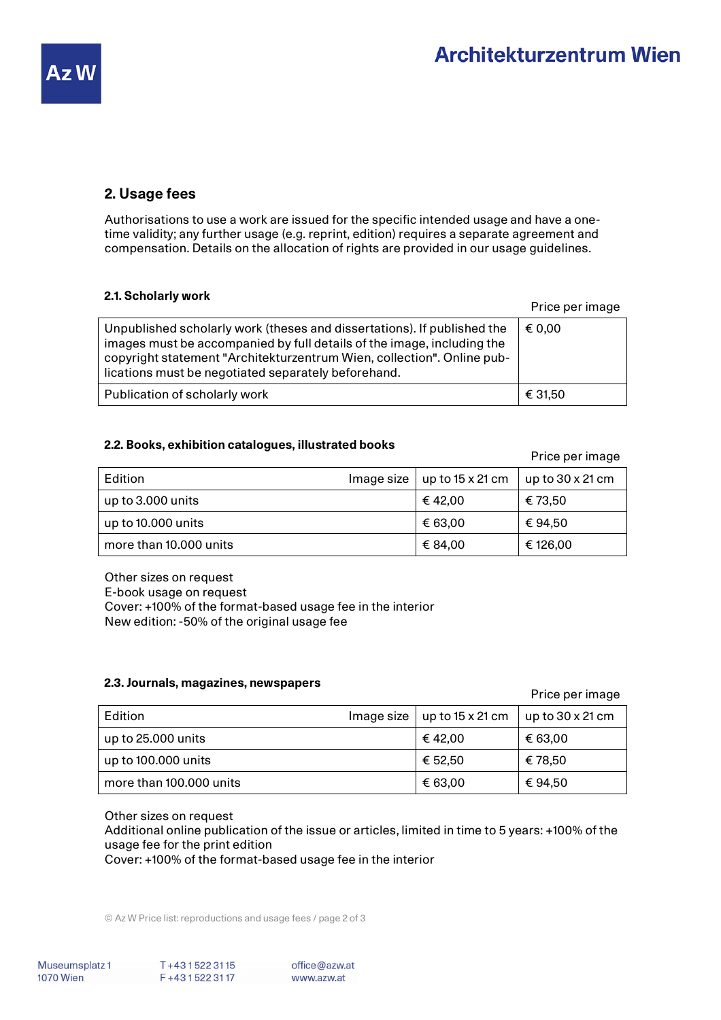

### **2. Usage fees**

Authorisations to use a work are issued for the specific intended usage and have a onetime validity; any further usage (e.g. reprint, edition) requires a separate agreement and compensation. Details on the allocation of rights are provided in our usage guidelines.

| 2.1. Scholarly work                                                                                                                                                                                                                                                                |                 |
|------------------------------------------------------------------------------------------------------------------------------------------------------------------------------------------------------------------------------------------------------------------------------------|-----------------|
|                                                                                                                                                                                                                                                                                    | Price per image |
| Unpublished scholarly work (theses and dissertations). If published the<br>images must be accompanied by full details of the image, including the<br>copyright statement "Architekturzentrum Wien, collection". Online pub-<br>lications must be negotiated separately beforehand. | € 0.00          |
| Publication of scholarly work                                                                                                                                                                                                                                                      | € 31,50         |

# **2.2. Books, exhibition catalogues, illustrated books** Price per image

ᄀ

| Edition                | Image size $\vert$ up to 15 x 21 cm | $\vert$ up to 30 x 21 cm |
|------------------------|-------------------------------------|--------------------------|
| up to 3.000 units      | € 42.00                             | € 73.50                  |
| up to 10.000 units     | € 63.00                             | € 94.50                  |
| more than 10,000 units | € 84.00                             | € 126,00                 |

Other sizes on request E-book usage on request Cover: +100% of the format-based usage fee in the interior New edition: -50% of the original usage fee

### **2.3. Journals, magazines, newspapers Price per image per image**

| Edition                 | Image size | up to $15 \times 21$ cm | up to $30 \times 21$ cm |
|-------------------------|------------|-------------------------|-------------------------|
| up to 25.000 units      |            | € 42.00                 | € 63,00                 |
| up to 100.000 units     |            | € 52.50                 | € 78.50                 |
| more than 100,000 units |            | € 63,00                 | € 94.50                 |

### Other sizes on request

Additional online publication of the issue or articles, limited in time to 5 years: +100% of the usage fee for the print edition

Cover: +100% of the format-based usage fee in the interior

© Az W Price list: reproductions and usage fees / page 2 of 3